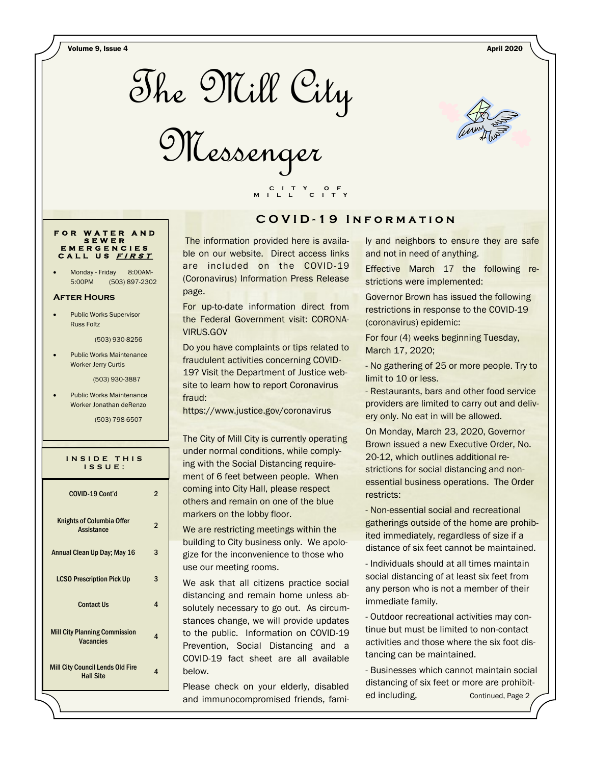Volume 9, Issue 4 April 2020



Messenger



### **F O R W A T E R A N D S E W E R E M E R G E N C I E S C A L L U S <sup>F</sup> <sup>I</sup> <sup>R</sup> <sup>S</sup> <sup>T</sup>**

Monday - Friday 8:00AM-5:00PM (503) 897-2302

#### **After Hours**

 Public Works Supervisor Russ Foltz

(503) 930-8256

 Public Works Maintenance Worker Jerry Curtis

(503) 930-3887

 Public Works Maintenance Worker Jonathan deRenzo

(503) 798-6507

| INSIDE THIS<br>$IS$ $S$ $U$ $E$ :                           |                |  |
|-------------------------------------------------------------|----------------|--|
| COVID-19 Cont'd                                             | 2              |  |
| <b>Knights of Columbia Offer</b><br>Assistance              | $\overline{2}$ |  |
| Annual Clean Up Day; May 16                                 | 3              |  |
| <b>LCSO Prescription Pick Up</b>                            | 3              |  |
| <b>Contact Us</b>                                           | 4              |  |
| <b>Mill City Planning Commission</b><br><b>Vacancies</b>    | 4              |  |
| <b>Mill City Council Lends Old Fire</b><br><b>Hall Site</b> | Δ              |  |

# **C O V I D - 1 9 I n f o r m a t i o n**

The information provided here is available on our website. Direct access links are included on the COVID-19 (Coronavirus) Information Press Release page.

 **C I T Y O F M I L L C I T Y**

For up-to-date information direct from the Federal Government visit: CORONA-VIRUS.GOV

Do you have complaints or tips related to fraudulent activities concerning COVID-19? Visit the Department of Justice website to learn how to report Coronavirus fraud:

https://www.justice.gov/coronavirus

The City of Mill City is currently operating under normal conditions, while complying with the Social Distancing requirement of 6 feet between people. When coming into City Hall, please respect others and remain on one of the blue markers on the lobby floor.

We are restricting meetings within the building to City business only. We apologize for the inconvenience to those who use our meeting rooms.

We ask that all citizens practice social distancing and remain home unless absolutely necessary to go out. As circumstances change, we will provide updates to the public. Information on COVID-19 Prevention, Social Distancing and a COVID-19 fact sheet are all available below.

Please check on your elderly, disabled and immunocompromised friends, family and neighbors to ensure they are safe and not in need of anything.

Effective March 17 the following restrictions were implemented:

Governor Brown has issued the following restrictions in response to the COVID-19 (coronavirus) epidemic:

For four (4) weeks beginning Tuesday, March 17, 2020;

- No gathering of 25 or more people. Try to limit to 10 or less.

- Restaurants, bars and other food service providers are limited to carry out and delivery only. No eat in will be allowed.

On Monday, March 23, 2020, Governor Brown issued a new Executive Order, No. 20-12, which outlines additional restrictions for social distancing and nonessential business operations. The Order restricts:

- Non-essential social and recreational gatherings outside of the home are prohibited immediately, regardless of size if a distance of six feet cannot be maintained.

- Individuals should at all times maintain social distancing of at least six feet from any person who is not a member of their immediate family.

- Outdoor recreational activities may continue but must be limited to non-contact activities and those where the six foot distancing can be maintained.

- Businesses which cannot maintain social distancing of six feet or more are prohibited including, Continued, Page 2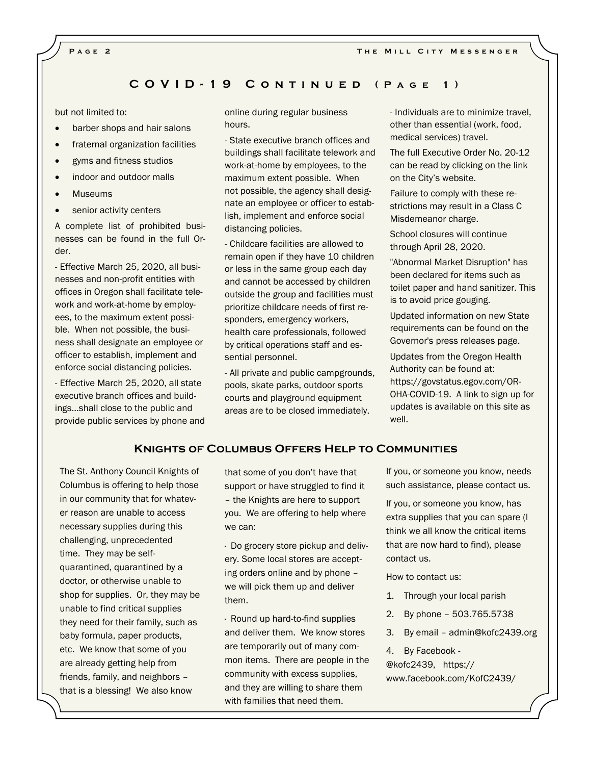## **C O V I D - 1 9 C o n t i n u e d ( P a g e 1 )**

but not limited to:

- barber shops and hair salons
- fraternal organization facilities
- gyms and fitness studios
- indoor and outdoor malls
- Museums
- **•** senior activity centers

A complete list of prohibited businesses can be found in the full Order.

- Effective March 25, 2020, all businesses and non-profit entities with offices in Oregon shall facilitate telework and work-at-home by employees, to the maximum extent possible. When not possible, the business shall designate an employee or officer to establish, implement and enforce social distancing policies.

- Effective March 25, 2020, all state executive branch offices and buildings...shall close to the public and provide public services by phone and online during regular business hours.

- State executive branch offices and buildings shall facilitate telework and work-at-home by employees, to the maximum extent possible. When not possible, the agency shall designate an employee or officer to establish, implement and enforce social distancing policies.

- Childcare facilities are allowed to remain open if they have 10 children or less in the same group each day and cannot be accessed by children outside the group and facilities must prioritize childcare needs of first responders, emergency workers, health care professionals, followed by critical operations staff and essential personnel.

- All private and public campgrounds, pools, skate parks, outdoor sports courts and playground equipment areas are to be closed immediately.

- Individuals are to minimize travel, other than essential (work, food, medical services) travel.

The full Executive Order No. 20-12 can be read by clicking on the link on the City's website.

Failure to comply with these restrictions may result in a Class C Misdemeanor charge.

School closures will continue through April 28, 2020.

"Abnormal Market Disruption" has been declared for items such as toilet paper and hand sanitizer. This is to avoid price gouging.

Updated information on new State requirements can be found on the Governor's press releases page.

Updates from the Oregon Health Authority can be found at: https://govstatus.egov.com/OR-OHA-COVID-19. A link to sign up for updates is available on this site as well.

#### **Knights of Columbus Offers Help to Communities**

The St. Anthony Council Knights of Columbus is offering to help those in our community that for whatever reason are unable to access necessary supplies during this challenging, unprecedented time. They may be selfquarantined, quarantined by a doctor, or otherwise unable to shop for supplies. Or, they may be unable to find critical supplies they need for their family, such as baby formula, paper products, etc. We know that some of you are already getting help from friends, family, and neighbors – that is a blessing! We also know

that some of you don't have that support or have struggled to find it – the Knights are here to support you. We are offering to help where we can:

· Do grocery store pickup and delivery. Some local stores are accepting orders online and by phone – we will pick them up and deliver them.

· Round up hard-to-find supplies and deliver them. We know stores are temporarily out of many common items. There are people in the community with excess supplies, and they are willing to share them with families that need them.

If you, or someone you know, needs such assistance, please contact us.

If you, or someone you know, has extra supplies that you can spare (I think we all know the critical items that are now hard to find), please contact us.

How to contact us:

- 1. Through your local parish
- 2. By phone 503.765.5738
- 3. By email admin@kofc2439.org

4. By Facebook -

@kofc2439, https:// www.facebook.com/KofC2439/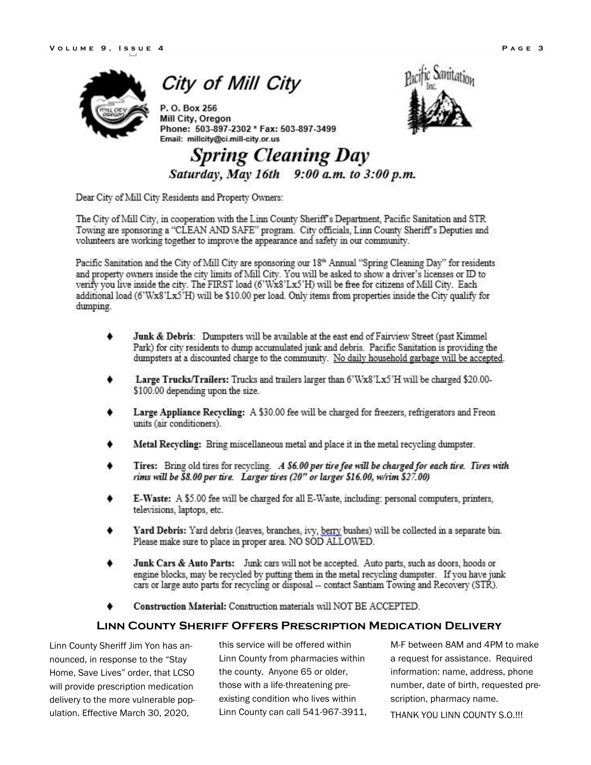**City of Mill City** 

P.O. Box 256 Mill City, Oregon Phone: 503-897-2302 \* Fax: 503-897-3499 Email: millcity@ci.mill-city.or.us



# **Spring Cleaning Day** Saturday, May 16th 9:00 a.m. to 3:00 p.m.

Dear City of Mill City Residents and Property Owners:

The City of Mill City, in cooperation with the Linn County Sheriff's Department, Pacific Sanitation and STR. Towing are sponsoring a "CLEAN AND SAFE" program. City officials, Linn County Sheriff's Deputies and volunteers are working together to improve the appearance and safety in our community.

Pacific Sanitation and the City of Mill City are sponsoring our 18<sup>th</sup> Annual "Spring Cleaning Day" for residents and property owners inside the city limits of Mill City. You will be asked to show a driver's licenses or ID to verify you live inside the city. The FIRST load (6'Wx8'Lx5'H) will be free for citizens of Mill City. Each additional load (6'Wx8'Lx5'H) will be \$10.00 per load. Only items from properties inside the City qualify for dumping.

- Junk & Debris: Dumpsters will be available at the east end of Fairview Street (past Kimmel Park) for city residents to dump accumulated junk and debris. Pacific Sanitation is providing the dumpsters at a discounted charge to the community. No daily household garbage will be accepted.
- Large Trucks/Trailers: Trucks and trailers larger than 6'Wx8'Lx5'H will be charged \$20.00-\$100.00 depending upon the size.
- Large Appliance Recycling: A \$30.00 fee will be charged for freezers, refrigerators and Freon units (air conditioners).
- Metal Recycling: Bring miscellaneous metal and place it in the metal recycling dumpster.
- Tires: Bring old tires for recycling. A \$6.00 per tire fee will be charged for each tire. Tires with rims will be \$8.00 per tire. Larger tires (20" or larger \$16.00, w/rim \$27.00)
- E-Waste: A \$5.00 fee will be charged for all E-Waste, including: personal computers, printers, televisions, laptops, etc.
- Yard Debris: Yard debris (leaves, branches, ivy, berry bushes) will be collected in a separate bin. Please make sure to place in proper area. NO SOD ALLOWED.
- Junk Cars & Auto Parts: Junk cars will not be accepted. Auto parts, such as doors, hoods or engine blocks, may be recycled by putting them in the metal recycling dumpster. If you have junk cars or large auto parts for recycling or disposal -- contact Santiam Towing and Recovery (STR).
- Construction Material: Construction materials will NOT BE ACCEPTED.

# **Linn County Sheriff Offers Prescription Medication Delivery**

Linn County Sheriff Jim Yon has announced, in response to the "Stay Home, Save Lives" order, that LCSO will provide prescription medication delivery to the more vulnerable population. Effective March 30, 2020,

this service will be offered within Linn County from pharmacies within the county. Anyone 65 or older, those with a life-threatening preexisting condition who lives within Linn County can call 541-967-3911,

M-F between 8AM and 4PM to make a request for assistance. Required information: name, address, phone number, date of birth, requested prescription, pharmacy name. THANK YOU LINN COUNTY S.O.!!!